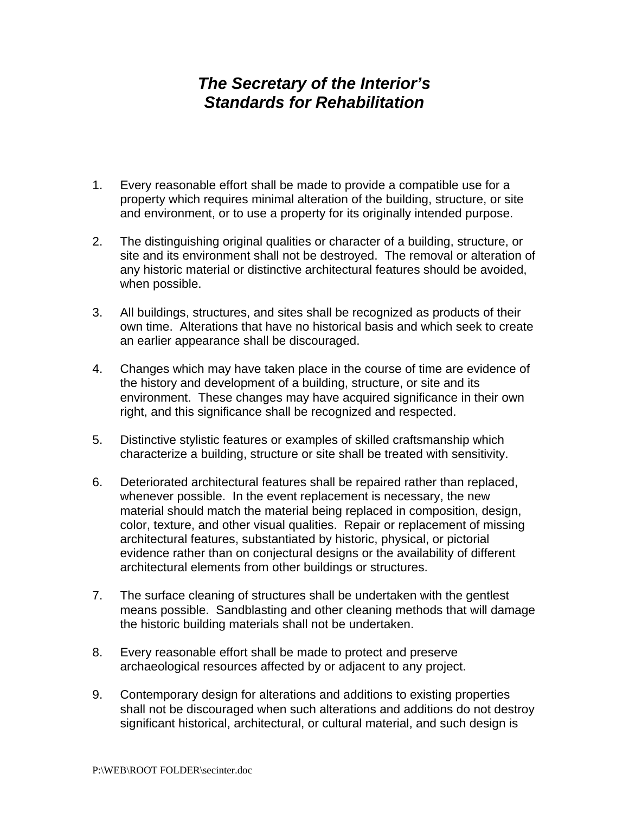## *The Secretary of the Interior's Standards for Rehabilitation*

- 1. Every reasonable effort shall be made to provide a compatible use for a property which requires minimal alteration of the building, structure, or site and environment, or to use a property for its originally intended purpose.
- 2. The distinguishing original qualities or character of a building, structure, or site and its environment shall not be destroyed. The removal or alteration of any historic material or distinctive architectural features should be avoided, when possible.
- 3. All buildings, structures, and sites shall be recognized as products of their own time. Alterations that have no historical basis and which seek to create an earlier appearance shall be discouraged.
- 4. Changes which may have taken place in the course of time are evidence of the history and development of a building, structure, or site and its environment. These changes may have acquired significance in their own right, and this significance shall be recognized and respected.
- 5. Distinctive stylistic features or examples of skilled craftsmanship which characterize a building, structure or site shall be treated with sensitivity.
- 6. Deteriorated architectural features shall be repaired rather than replaced, whenever possible. In the event replacement is necessary, the new material should match the material being replaced in composition, design, color, texture, and other visual qualities. Repair or replacement of missing architectural features, substantiated by historic, physical, or pictorial evidence rather than on conjectural designs or the availability of different architectural elements from other buildings or structures.
- 7. The surface cleaning of structures shall be undertaken with the gentlest means possible. Sandblasting and other cleaning methods that will damage the historic building materials shall not be undertaken.
- 8. Every reasonable effort shall be made to protect and preserve archaeological resources affected by or adjacent to any project.
- 9. Contemporary design for alterations and additions to existing properties shall not be discouraged when such alterations and additions do not destroy significant historical, architectural, or cultural material, and such design is